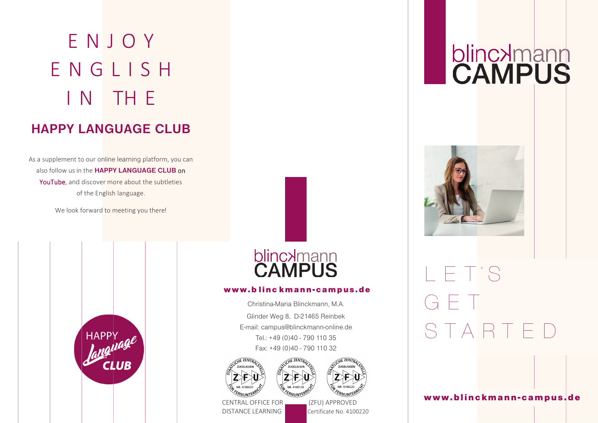# ENJOY ENGLIS H I N TH E **HAPPY LANGUAGE CLUB**

## As a supplement to our online learning platform, you can also follow us in the **HAPPY LANGUAGE CLUB** on YouTube, and discover more about the subtleties of the English language.

We look forward to meeting you there!





### www.blinckmann-campus.de

Christina-Maria Blinckmann, M.A. Glinder Weg 8, D-21465 Reinbek E-mail: campus@blinckmann-online.de Tel.: +49 (0)40 - 790 110 35 Fax: +49 (0)40 - 790 110 32





CENTRAL OFFICE FOR (ZFU) APPROVED DISTANCE LEARNING

# **blincxmann**



# LET˙S G E T STARTED

www.blinckmann-campus.de